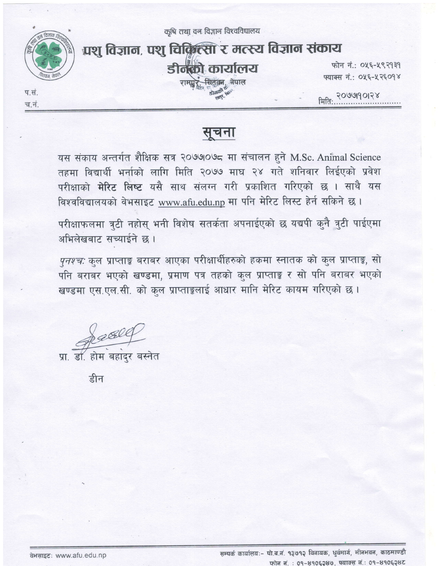कृषि तथा वन विज्ञान विश्वविद्यालय



## प्रशु विज्ञान, पशु चिक्रिल्सा र मत्स्य विज्ञान संकाय डीनको कार्यालय

फोन नं.: ०५६-५९२१३१ फ्याक्स नं.: ०५६-५२६०१४

प.सं. च.नं. मिति: २०७७1901२४

## सूचना

यस संकाय अन्तर्गत शैक्षिक सत्र २०७७०७८ मा संचालन हुने M.Sc. Animal Science तहमा विद्यार्थी भर्नाको लागि मिति २०७७ माघ २४ गते शनिवार लिईएको प्रवेश परीक्षाको मेरिट लिष्ट यसै साथ संलग्न गरी प्रकाशित गरिएको छ । साथै यस विश्वविद्यालयको वेभसाइट www.afu.edu.np मा पनि मेरिट लिस्ट हेर्न सकिने छ।

परीक्षाफलमा त्रुटी नहोस् भनी विशेष सतर्कता अपनाईएको छ यद्यपी कुनै त्रुटी पाईएमा अभिलेखबाट सच्याईने छ।

*पुनश्च*: कुल प्राप्ताङ्क बराबर आएका परीक्षार्थीहरुको हकमा स्नातक को कुल प्राप्ताङ्क, सो पनि बराबर भएको खण्डमा, प्रमाण पत्र तहको कुल प्राप्ताङ्क र सो पनि बराबर भएको खण्डमा एस.एल.सी. को कुल प्राप्ताङ्कलाई आधार मानि मेरिट कायम गरिएको छ।

Delle

डॉ. होम बहादर बस्नेत

डीन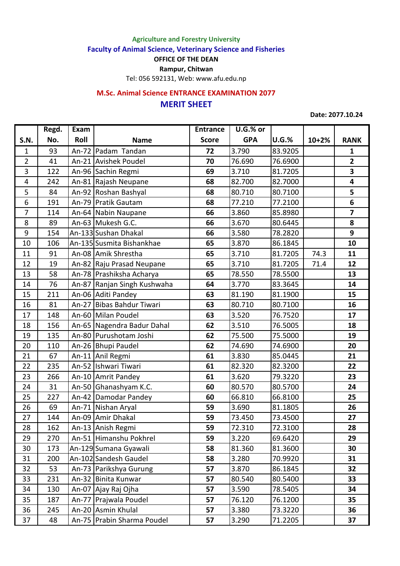**Agriculture and Forestry University**

**Faculty of Animal Science, Veterinary Science and Fisheries**

**OFFICE OF THE DEAN**

**Rampur, Chitwan**

Tel: 056 592131, Web: www.afu.edu.np

## **MERIT SHEET M.Sc. Animal Science ENTRANCE EXAMINATION 2077**

**Date: 2077.10.24**

|                  | Regd. | Exam |                             | <b>Entrance</b> | $U.G.\%$ or |              |           |                         |
|------------------|-------|------|-----------------------------|-----------------|-------------|--------------|-----------|-------------------------|
| S.N.             | No.   | Roll | <b>Name</b>                 | <b>Score</b>    | <b>GPA</b>  | <b>U.G.%</b> | $10 + 2%$ | <b>RANK</b>             |
| $\mathbf{1}$     | 93    |      | An-72 Padam Tandan          | 72              | 3.790       | 83.9205      |           | $\mathbf{1}$            |
| $\overline{2}$   | 41    |      | An-21 Avishek Poudel        | 70              | 76.690      | 76.6900      |           | $\overline{2}$          |
| 3                | 122   |      | An-96 Sachin Regmi          | 69              | 3.710       | 81.7205      |           | 3                       |
| 4                | 242   |      | An-81 Rajash Neupane        | 68              | 82.700      | 82.7000      |           | 4                       |
| 5                | 84    |      | An-92 Roshan Bashyal        | 68              | 80.710      | 80.7100      |           | 5                       |
| 6                | 191   |      | An-79 Pratik Gautam         | 68              | 77.210      | 77.2100      |           | 6                       |
| 7                | 114   |      | An-64 Nabin Naupane         | 66              | 3.860       | 85.8980      |           | $\overline{\mathbf{z}}$ |
| 8                | 89    |      | An-63 Mukesh G.C.           | 66              | 3.670       | 80.6445      |           | 8                       |
| $\boldsymbol{9}$ | 154   |      | An-133 Sushan Dhakal        | 66              | 3.580       | 78.2820      |           | 9                       |
| 10               | 106   |      | An-135 Susmita Bishankhae   | 65              | 3.870       | 86.1845      |           | 10                      |
| 11               | 91    |      | An-08 Amik Shrestha         | 65              | 3.710       | 81.7205      | 74.3      | 11                      |
| 12               | 19    |      | An-82 Raju Prasad Neupane   | 65              | 3.710       | 81.7205      | 71.4      | 12                      |
| 13               | 58    |      | An-78 Prashiksha Acharya    | 65              | 78.550      | 78.5500      |           | 13                      |
| 14               | 76    |      | An-87 Ranjan Singh Kushwaha | 64              | 3.770       | 83.3645      |           | 14                      |
| 15               | 211   |      | An-06 Aditi Pandey          | 63              | 81.190      | 81.1900      |           | 15                      |
| 16               | 81    |      | An-27 Bibas Bahdur Tiwari   | 63              | 80.710      | 80.7100      |           | 16                      |
| 17               | 148   |      | An-60 Milan Poudel          | 63              | 3.520       | 76.7520      |           | 17                      |
| 18               | 156   |      | An-65 Nagendra Badur Dahal  | 62              | 3.510       | 76.5005      |           | 18                      |
| 19               | 135   |      | An-80 Purushotam Joshi      | 62              | 75.500      | 75.5000      |           | 19                      |
| 20               | 110   |      | An-26 Bhupi Paudel          | 62              | 74.690      | 74.6900      |           | 20                      |
| 21               | 67    |      | An-11 Anil Regmi            | 61              | 3.830       | 85.0445      |           | 21                      |
| 22               | 235   |      | An-52 Ishwari Tiwari        | 61              | 82.320      | 82.3200      |           | 22                      |
| 23               | 266   |      | An-10 Amrit Pandey          | 61              | 3.620       | 79.3220      |           | 23                      |
| 24               | 31    |      | An-50 Ghanashyam K.C.       | 60              | 80.570      | 80.5700      |           | 24                      |
| 25               | 227   |      | An-42 Damodar Pandey        | 60              | 66.810      | 66.8100      |           | 25                      |
| 26               | 69    |      | An-71 Nishan Aryal          | 59              | 3.690       | 81.1805      |           | 26                      |
| 27               | 144   |      | An-09 Amir Dhakal           | 59              | 73.450      | 73.4500      |           | 27                      |
| 28               | 162   |      | An-13 Anish Regmi           | 59              | 72.310      | 72.3100      |           | 28                      |
| 29               | 270   |      | An-51 Himanshu Pokhrel      | 59              | 3.220       | 69.6420      |           | 29                      |
| 30               | 173   |      | An-129 Sumana Gyawali       | 58              | 81.360      | 81.3600      |           | 30                      |
| 31               | 200   |      | An-102 Sandesh Gaudel       | 58              | 3.280       | 70.9920      |           | 31                      |
| 32               | 53    |      | An-73 Parikshya Gurung      | 57              | 3.870       | 86.1845      |           | 32                      |
| 33               | 231   |      | An-32 Binita Kunwar         | 57              | 80.540      | 80.5400      |           | 33                      |
| 34               | 130   |      | An-07 Ajay Raj Ojha         | 57              | 3.590       | 78.5405      |           | 34                      |
| 35               | 187   |      | An-77   Prajwala Poudel     | 57              | 76.120      | 76.1200      |           | 35                      |
| 36               | 245   |      | An-20 Asmin Khulal          | 57              | 3.380       | 73.3220      |           | 36                      |
| 37               | 48    |      | An-75 Prabin Sharma Poudel  | 57              | 3.290       | 71.2205      |           | 37                      |